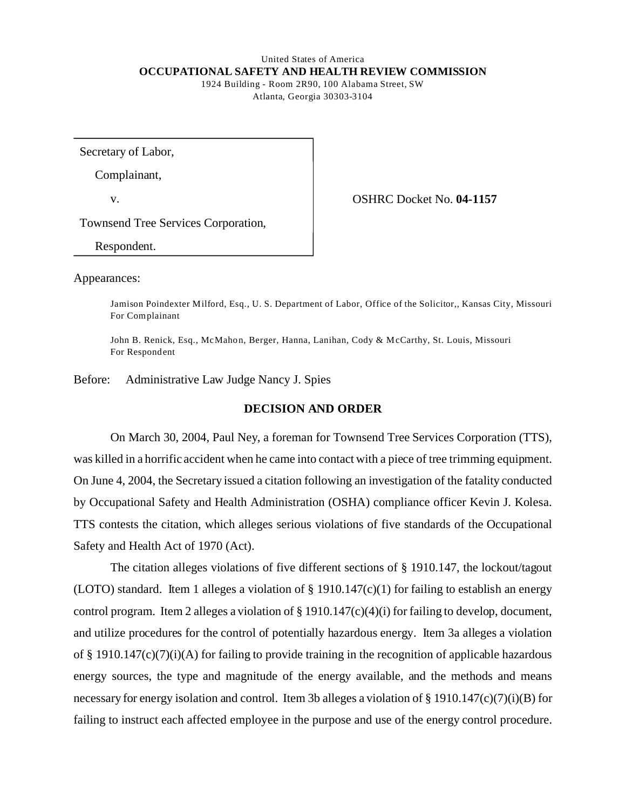### United States of America **OCCUPATIONAL SAFETY AND HEALTH REVIEW COMMISSION**  1924 Building - Room 2R90, 100 Alabama Street, SW

Atlanta, Georgia 30303-3104

Secretary of Labor,

Complainant,

v. OSHRC Docket No. **04-1157** 

Townsend Tree Services Corporation,

Respondent.

Appearances:

Jamison Poindexter M ilford, Esq., U. S. Department of Labor, Office of the Solicitor,, Kansas City, Missouri For Complainant

John B. Renick, Esq., McMahon, Berger, Hanna, Lanihan, Cody & McCarthy, St. Louis, Missouri For Respondent

Before: Administrative Law Judge Nancy J. Spies

#### **DECISION AND ORDER**

On March 30, 2004, Paul Ney, a foreman for Townsend Tree Services Corporation (TTS), was killed in a horrific accident when he came into contact with a piece of tree trimming equipment. On June 4, 2004, the Secretary issued a citation following an investigation of the fatality conducted by Occupational Safety and Health Administration (OSHA) compliance officer Kevin J. Kolesa. TTS contests the citation, which alleges serious violations of five standards of the Occupational Safety and Health Act of 1970 (Act).

The citation alleges violations of five different sections of § 1910.147, the lockout/tagout (LOTO) standard. Item 1 alleges a violation of  $\S$  1910.147(c)(1) for failing to establish an energy control program. Item 2 alleges a violation of § 1910.147(c)(4)(i) for failing to develop, document, and utilize procedures for the control of potentially hazardous energy. Item 3a alleges a violation of § 1910.147(c)(7)(i)(A) for failing to provide training in the recognition of applicable hazardous energy sources, the type and magnitude of the energy available, and the methods and means necessary for energy isolation and control. Item 3b alleges a violation of § 1910.147(c)(7)(i)(B) for failing to instruct each affected employee in the purpose and use of the energy control procedure.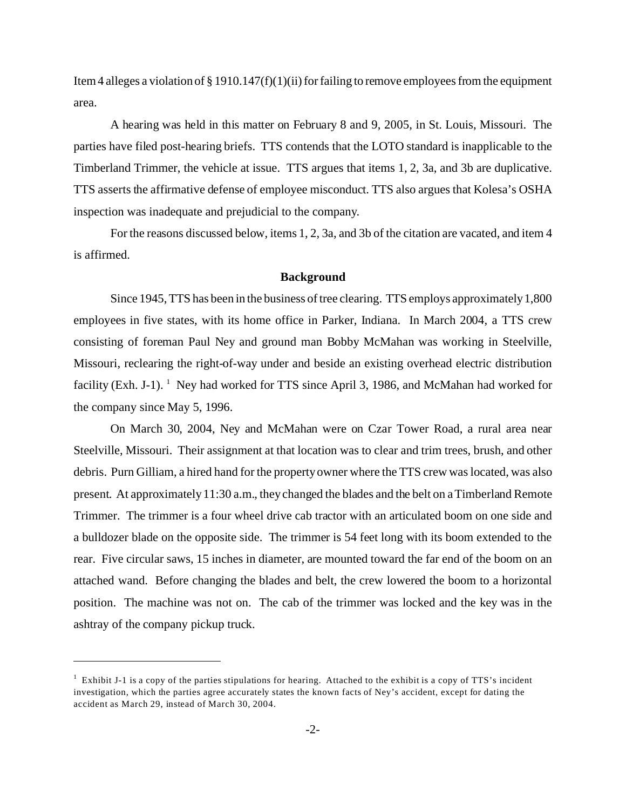Item 4 alleges a violation of § 1910.147(f)(1)(ii) for failing to remove employees from the equipment area.

A hearing was held in this matter on February 8 and 9, 2005, in St. Louis, Missouri. The parties have filed post-hearing briefs. TTS contends that the LOTO standard is inapplicable to the Timberland Trimmer, the vehicle at issue. TTS argues that items 1, 2, 3a, and 3b are duplicative. TTS asserts the affirmative defense of employee misconduct. TTS also argues that Kolesa's OSHA inspection was inadequate and prejudicial to the company.

For the reasons discussed below, items 1, 2, 3a, and 3b of the citation are vacated, and item 4 is affirmed.

#### **Background**

Since 1945, TTS has been in the business of tree clearing. TTS employs approximately 1,800 employees in five states, with its home office in Parker, Indiana. In March 2004, a TTS crew consisting of foreman Paul Ney and ground man Bobby McMahan was working in Steelville, Missouri, reclearing the right-of-way under and beside an existing overhead electric distribution facility (Exh. J-1).  $^1$  Ney had worked for TTS since April 3, 1986, and McMahan had worked for the company since May 5, 1996.

On March 30, 2004, Ney and McMahan were on Czar Tower Road, a rural area near Steelville, Missouri. Their assignment at that location was to clear and trim trees, brush, and other debris. Purn Gilliam, a hired hand for the property owner where the TTS crew was located, was also present. At approximately 11:30 a.m., they changed the blades and the belt on a Timberland Remote Trimmer. The trimmer is a four wheel drive cab tractor with an articulated boom on one side and a bulldozer blade on the opposite side. The trimmer is 54 feet long with its boom extended to the rear. Five circular saws, 15 inches in diameter, are mounted toward the far end of the boom on an attached wand. Before changing the blades and belt, the crew lowered the boom to a horizontal position. The machine was not on. The cab of the trimmer was locked and the key was in the ashtray of the company pickup truck.

 $<sup>1</sup>$  Exhibit J-1 is a copy of the parties stipulations for hearing. Attached to the exhibit is a copy of TTS's incident</sup> investigation, which the parties agree accurately states the known facts of Ney's accident, except for dating the accident as March 29, instead of March 30, 2004.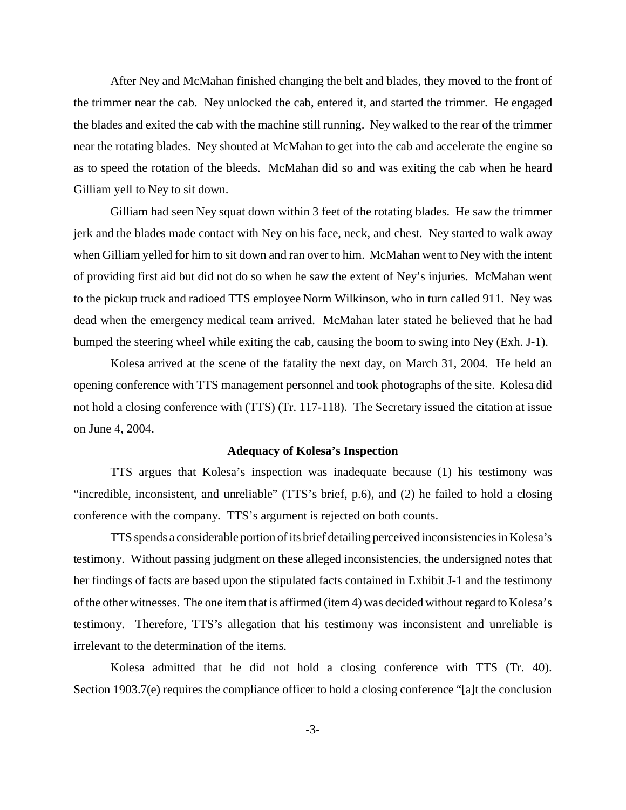After Ney and McMahan finished changing the belt and blades, they moved to the front of the trimmer near the cab. Ney unlocked the cab, entered it, and started the trimmer. He engaged the blades and exited the cab with the machine still running. Ney walked to the rear of the trimmer near the rotating blades. Ney shouted at McMahan to get into the cab and accelerate the engine so as to speed the rotation of the bleeds. McMahan did so and was exiting the cab when he heard Gilliam yell to Ney to sit down.

Gilliam had seen Ney squat down within 3 feet of the rotating blades. He saw the trimmer jerk and the blades made contact with Ney on his face, neck, and chest. Ney started to walk away when Gilliam yelled for him to sit down and ran over to him. McMahan went to Ney with the intent of providing first aid but did not do so when he saw the extent of Ney's injuries. McMahan went to the pickup truck and radioed TTS employee Norm Wilkinson, who in turn called 911. Ney was dead when the emergency medical team arrived. McMahan later stated he believed that he had bumped the steering wheel while exiting the cab, causing the boom to swing into Ney (Exh. J-1).

Kolesa arrived at the scene of the fatality the next day, on March 31, 2004. He held an opening conference with TTS management personnel and took photographs of the site. Kolesa did not hold a closing conference with (TTS) (Tr. 117-118). The Secretary issued the citation at issue on June 4, 2004.

#### **Adequacy of Kolesa's Inspection**

TTS argues that Kolesa's inspection was inadequate because (1) his testimony was "incredible, inconsistent, and unreliable" (TTS's brief, p.6), and (2) he failed to hold a closing conference with the company. TTS's argument is rejected on both counts.

TTS spends a considerable portion of its brief detailing perceived inconsistencies in Kolesa's testimony. Without passing judgment on these alleged inconsistencies, the undersigned notes that her findings of facts are based upon the stipulated facts contained in Exhibit J-1 and the testimony of the other witnesses. The one item that is affirmed (item 4) was decided without regard to Kolesa's testimony. Therefore, TTS's allegation that his testimony was inconsistent and unreliable is irrelevant to the determination of the items.

Kolesa admitted that he did not hold a closing conference with TTS (Tr. 40). Section 1903.7(e) requires the compliance officer to hold a closing conference "[a]t the conclusion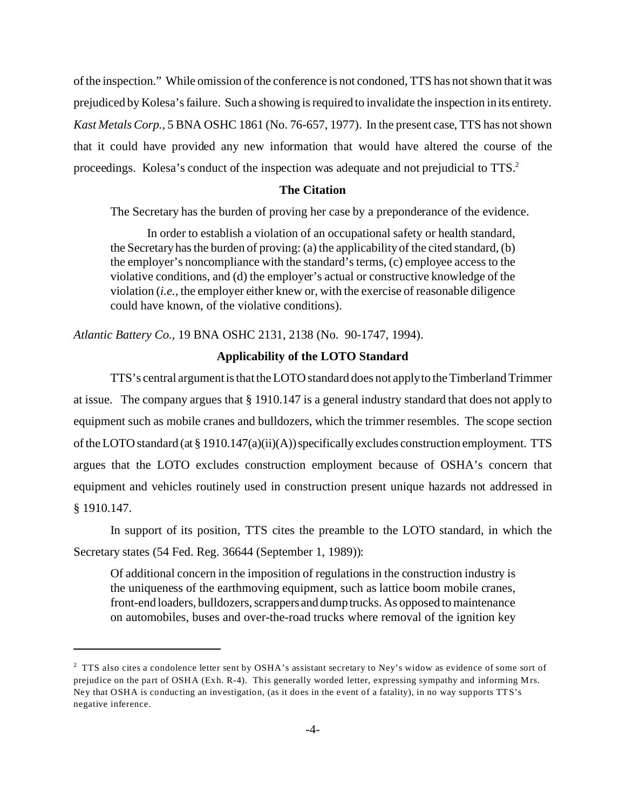of the inspection." While omission of the conference is not condoned, TTS has not shown that it was prejudiced by Kolesa's failure. Such a showing is required to invalidate the inspection in its entirety. *Kast Metals Corp.,* 5 BNA OSHC 1861 (No. 76-657, 1977). In the present case, TTS has not shown that it could have provided any new information that would have altered the course of the proceedings. Kolesa's conduct of the inspection was adequate and not prejudicial to TTS.2

#### **The Citation**

The Secretary has the burden of proving her case by a preponderance of the evidence.

In order to establish a violation of an occupational safety or health standard, the Secretary has the burden of proving: (a) the applicability of the cited standard, (b) the employer's noncompliance with the standard's terms, (c) employee access to the violative conditions, and (d) the employer's actual or constructive knowledge of the violation (*i.e.,* the employer either knew or, with the exercise of reasonable diligence could have known, of the violative conditions).

*Atlantic Battery Co.,* 19 BNA OSHC 2131, 2138 (No. 90-1747, 1994).

### **Applicability of the LOTO Standard**

TTS's central argument is that the LOTO standard does not apply to the Timberland Trimmer at issue. The company argues that § 1910.147 is a general industry standard that does not apply to equipment such as mobile cranes and bulldozers, which the trimmer resembles. The scope section of the LOTO standard (at § 1910.147(a)(ii)(A)) specifically excludes construction employment. TTS argues that the LOTO excludes construction employment because of OSHA's concern that equipment and vehicles routinely used in construction present unique hazards not addressed in § 1910.147.

In support of its position, TTS cites the preamble to the LOTO standard, in which the Secretary states (54 Fed. Reg. 36644 (September 1, 1989)):

Of additional concern in the imposition of regulations in the construction industry is the uniqueness of the earthmoving equipment, such as lattice boom mobile cranes, front-end loaders, bulldozers, scrappers and dump trucks. As opposed to maintenance on automobiles, buses and over-the-road trucks where removal of the ignition key

 $2^2$  TTS also cites a condolence letter sent by OSHA's assistant secretary to Ney's widow as evidence of some sort of prejudice on the part of OSHA (Exh. R-4). This generally worded letter, expressing sympathy and informing Mrs. Ney that OSHA is conducting an investigation, (as it does in the event of a fatality), in no way supports TTS's negative inference.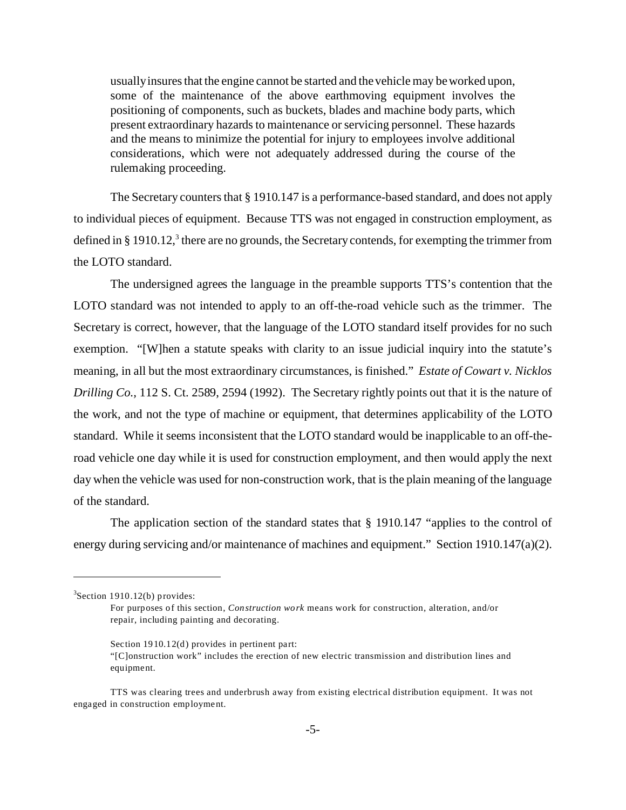usually insures that the engine cannot be started and the vehicle may be worked upon, some of the maintenance of the above earthmoving equipment involves the positioning of components, such as buckets, blades and machine body parts, which present extraordinary hazards to maintenance or servicing personnel. These hazards and the means to minimize the potential for injury to employees involve additional considerations, which were not adequately addressed during the course of the rulemaking proceeding.

The Secretary counters that § 1910.147 is a performance-based standard, and does not apply to individual pieces of equipment. Because TTS was not engaged in construction employment, as defined in § 1910.12,<sup>3</sup> there are no grounds, the Secretary contends, for exempting the trimmer from the LOTO standard.

The undersigned agrees the language in the preamble supports TTS's contention that the LOTO standard was not intended to apply to an off-the-road vehicle such as the trimmer. The Secretary is correct, however, that the language of the LOTO standard itself provides for no such exemption. "[W]hen a statute speaks with clarity to an issue judicial inquiry into the statute's meaning, in all but the most extraordinary circumstances, is finished." *Estate of Cowart v. Nicklos Drilling Co.,* 112 S. Ct. 2589, 2594 (1992). The Secretary rightly points out that it is the nature of the work, and not the type of machine or equipment, that determines applicability of the LOTO standard. While it seems inconsistent that the LOTO standard would be inapplicable to an off-theroad vehicle one day while it is used for construction employment, and then would apply the next day when the vehicle was used for non-construction work, that is the plain meaning of the language of the standard.

The application section of the standard states that § 1910.147 "applies to the control of energy during servicing and/or maintenance of machines and equipment." Section 1910.147(a)(2).

 $3$ Section 1910.12(b) provides:

For purposes of this section, *Construction work* means work for construction, alteration, and/or repair, including painting and decorating.

Section  $1910.12(d)$  provides in pertinent part:

<sup>&</sup>quot;[C]onstruction work" includes the erection of new electric transmission and distribution lines and equ ipme nt.

TTS was clearing trees and underbrush away from existing electrical distribution equipment. It was not engaged in construction employment.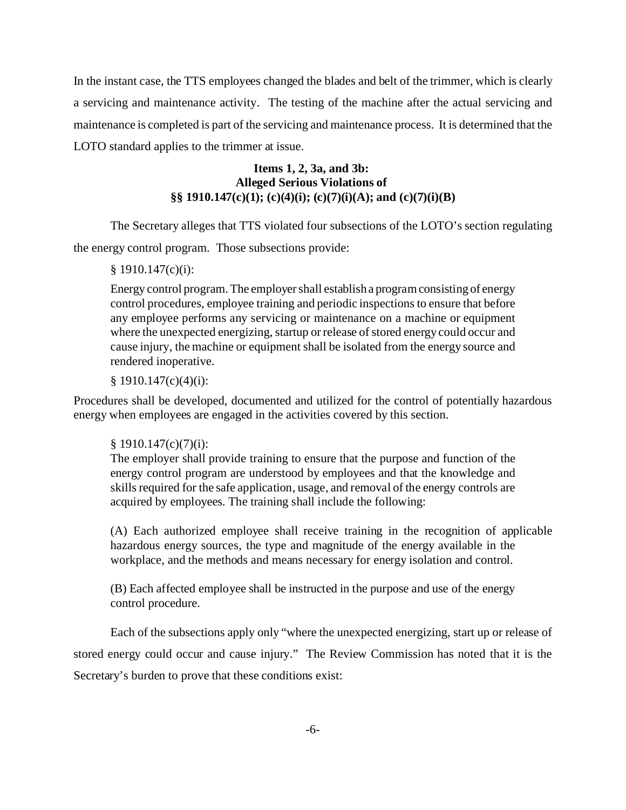In the instant case, the TTS employees changed the blades and belt of the trimmer, which is clearly a servicing and maintenance activity. The testing of the machine after the actual servicing and maintenance is completed is part of the servicing and maintenance process. It is determined that the LOTO standard applies to the trimmer at issue.

# **Items 1, 2, 3a, and 3b: Alleged Serious Violations of §§ 1910.147(c)(1); (c)(4)(i); (c)(7)(i)(A); and (c)(7)(i)(B)**

The Secretary alleges that TTS violated four subsections of the LOTO's section regulating the energy control program. Those subsections provide:

## § 1910.147(c)(i):

Energy control program. The employer shall establish a program consisting of energy control procedures, employee training and periodic inspections to ensure that before any employee performs any servicing or maintenance on a machine or equipment where the unexpected energizing, startup or release of stored energy could occur and cause injury, the machine or equipment shall be isolated from the energy source and rendered inoperative.

## $§ 1910.147(c)(4)(i):$

Procedures shall be developed, documented and utilized for the control of potentially hazardous energy when employees are engaged in the activities covered by this section.

## § 1910.147(c)(7)(i):

The employer shall provide training to ensure that the purpose and function of the energy control program are understood by employees and that the knowledge and skills required for the safe application, usage, and removal of the energy controls are acquired by employees. The training shall include the following:

(A) Each authorized employee shall receive training in the recognition of applicable hazardous energy sources, the type and magnitude of the energy available in the workplace, and the methods and means necessary for energy isolation and control.

(B) Each affected employee shall be instructed in the purpose and use of the energy control procedure.

Each of the subsections apply only "where the unexpected energizing, start up or release of stored energy could occur and cause injury." The Review Commission has noted that it is the Secretary's burden to prove that these conditions exist: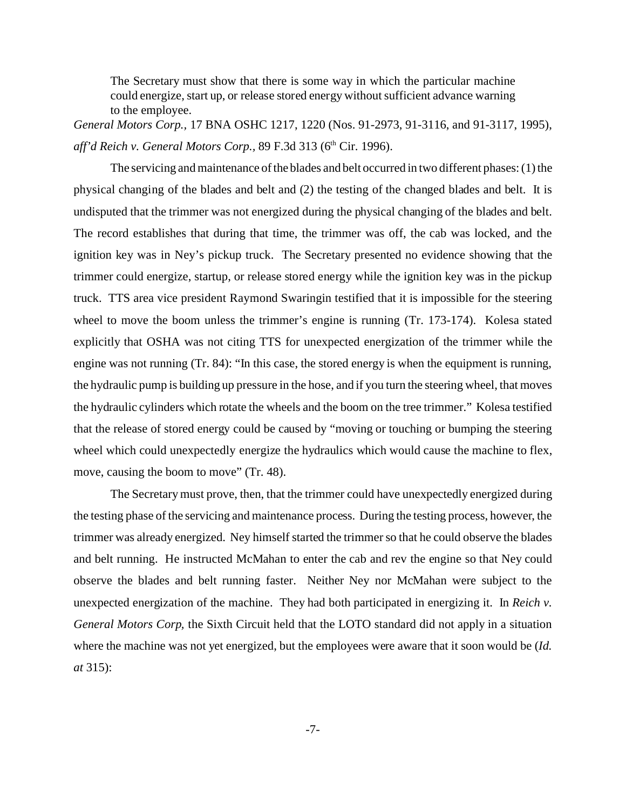The Secretary must show that there is some way in which the particular machine could energize, start up, or release stored energy without sufficient advance warning to the employee.

*General Motors Corp.,* 17 BNA OSHC 1217, 1220 (Nos. 91-2973, 91-3116, and 91-3117, 1995), aff'd Reich v. General Motors Corp., 89 F.3d 313 (6<sup>th</sup> Cir. 1996).

The servicing and maintenance of the blades and belt occurred in two different phases: (1) the physical changing of the blades and belt and (2) the testing of the changed blades and belt. It is undisputed that the trimmer was not energized during the physical changing of the blades and belt. The record establishes that during that time, the trimmer was off, the cab was locked, and the ignition key was in Ney's pickup truck. The Secretary presented no evidence showing that the trimmer could energize, startup, or release stored energy while the ignition key was in the pickup truck. TTS area vice president Raymond Swaringin testified that it is impossible for the steering wheel to move the boom unless the trimmer's engine is running (Tr. 173-174). Kolesa stated explicitly that OSHA was not citing TTS for unexpected energization of the trimmer while the engine was not running (Tr. 84): "In this case, the stored energy is when the equipment is running, the hydraulic pump is building up pressure in the hose, and if you turn the steering wheel, that moves the hydraulic cylinders which rotate the wheels and the boom on the tree trimmer." Kolesa testified that the release of stored energy could be caused by "moving or touching or bumping the steering wheel which could unexpectedly energize the hydraulics which would cause the machine to flex, move, causing the boom to move" (Tr. 48).

The Secretary must prove, then, that the trimmer could have unexpectedly energized during the testing phase of the servicing and maintenance process. During the testing process, however, the trimmer was already energized. Ney himself started the trimmer so that he could observe the blades and belt running. He instructed McMahan to enter the cab and rev the engine so that Ney could observe the blades and belt running faster. Neither Ney nor McMahan were subject to the unexpected energization of the machine. They had both participated in energizing it. In *Reich v. General Motors Corp,* the Sixth Circuit held that the LOTO standard did not apply in a situation where the machine was not yet energized, but the employees were aware that it soon would be (*Id. at* 315):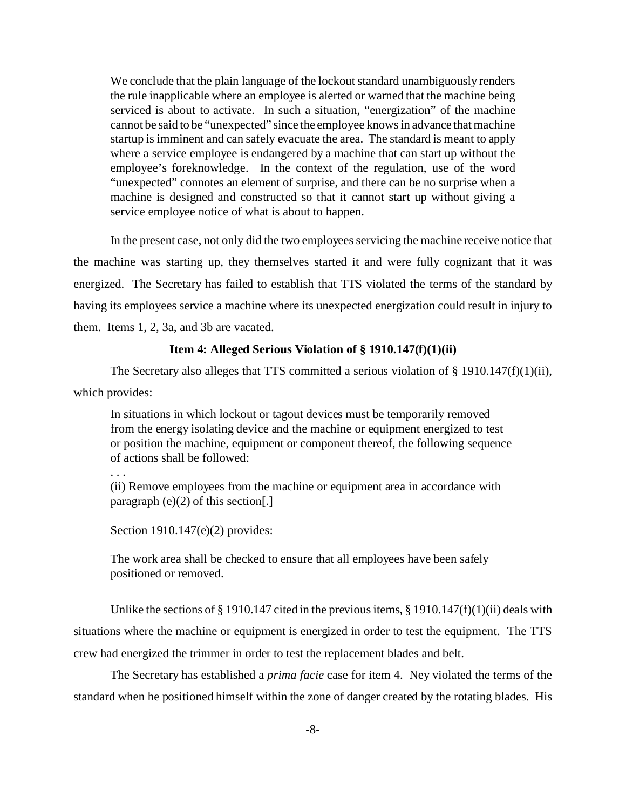We conclude that the plain language of the lockout standard unambiguously renders the rule inapplicable where an employee is alerted or warned that the machine being serviced is about to activate. In such a situation, "energization" of the machine cannot be said to be "unexpected" since the employee knows in advance that machine startup is imminent and can safely evacuate the area. The standard is meant to apply where a service employee is endangered by a machine that can start up without the employee's foreknowledge. In the context of the regulation, use of the word "unexpected" connotes an element of surprise, and there can be no surprise when a machine is designed and constructed so that it cannot start up without giving a service employee notice of what is about to happen.

In the present case, not only did the two employees servicing the machine receive notice that the machine was starting up, they themselves started it and were fully cognizant that it was energized. The Secretary has failed to establish that TTS violated the terms of the standard by having its employees service a machine where its unexpected energization could result in injury to them. Items 1, 2, 3a, and 3b are vacated.

### **Item 4: Alleged Serious Violation of § 1910.147(f)(1)(ii)**

The Secretary also alleges that TTS committed a serious violation of  $\S$  1910.147(f)(1)(ii), which provides:

In situations in which lockout or tagout devices must be temporarily removed from the energy isolating device and the machine or equipment energized to test or position the machine, equipment or component thereof, the following sequence of actions shall be followed:

## . . .

(ii) Remove employees from the machine or equipment area in accordance with paragraph  $(e)(2)$  of this section[.]

Section 1910.147(e)(2) provides:

The work area shall be checked to ensure that all employees have been safely positioned or removed.

Unlike the sections of § 1910.147 cited in the previous items, § 1910.147(f)(1)(ii) deals with situations where the machine or equipment is energized in order to test the equipment. The TTS crew had energized the trimmer in order to test the replacement blades and belt.

The Secretary has established a *prima facie* case for item 4. Ney violated the terms of the standard when he positioned himself within the zone of danger created by the rotating blades. His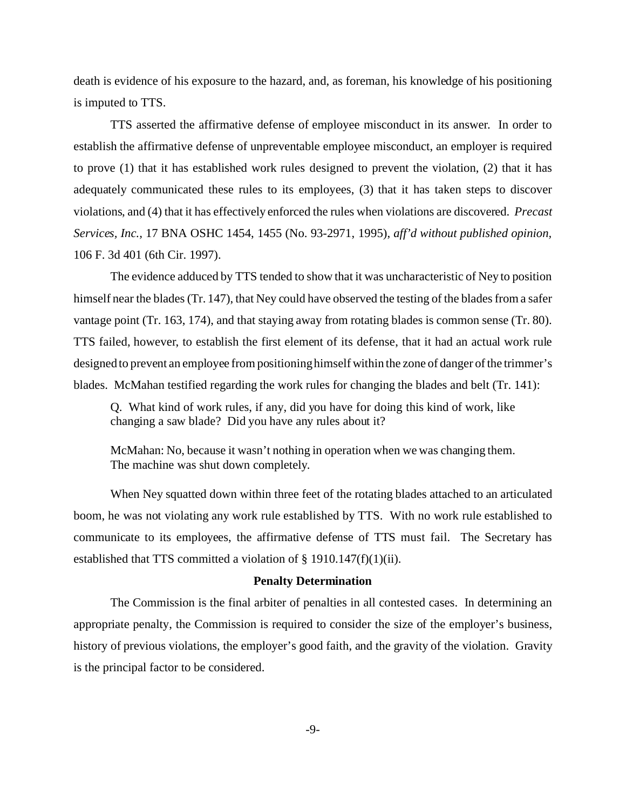death is evidence of his exposure to the hazard, and, as foreman, his knowledge of his positioning is imputed to TTS.

TTS asserted the affirmative defense of employee misconduct in its answer. In order to establish the affirmative defense of unpreventable employee misconduct, an employer is required to prove (1) that it has established work rules designed to prevent the violation, (2) that it has adequately communicated these rules to its employees, (3) that it has taken steps to discover violations, and (4) that it has effectively enforced the rules when violations are discovered. *Precast Services, Inc.,* 17 BNA OSHC 1454, 1455 (No. 93-2971, 1995), *aff'd without published opinion,*  106 F. 3d 401 (6th Cir. 1997).

The evidence adduced by TTS tended to show that it was uncharacteristic of Ney to position himself near the blades (Tr. 147), that Ney could have observed the testing of the blades from a safer vantage point (Tr. 163, 174), and that staying away from rotating blades is common sense (Tr. 80). TTS failed, however, to establish the first element of its defense, that it had an actual work rule designed to prevent an employee from positioning himself within the zone of danger of the trimmer's blades. McMahan testified regarding the work rules for changing the blades and belt (Tr. 141):

Q. What kind of work rules, if any, did you have for doing this kind of work, like changing a saw blade? Did you have any rules about it?

McMahan: No, because it wasn't nothing in operation when we was changing them. The machine was shut down completely.

When Ney squatted down within three feet of the rotating blades attached to an articulated boom, he was not violating any work rule established by TTS. With no work rule established to communicate to its employees, the affirmative defense of TTS must fail. The Secretary has established that TTS committed a violation of  $\S$  1910.147(f)(1)(ii).

#### **Penalty Determination**

The Commission is the final arbiter of penalties in all contested cases. In determining an appropriate penalty, the Commission is required to consider the size of the employer's business, history of previous violations, the employer's good faith, and the gravity of the violation. Gravity is the principal factor to be considered.